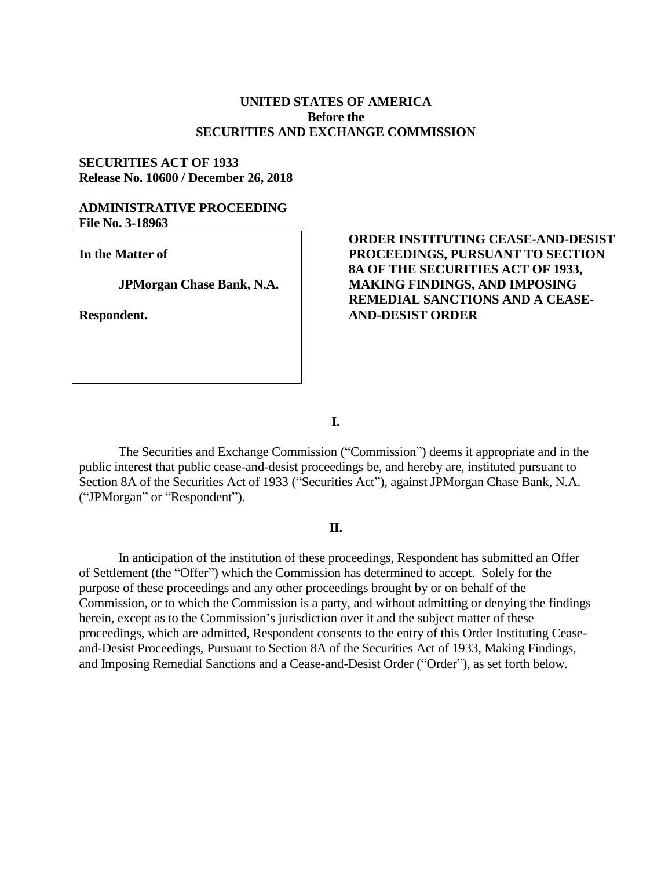# **UNITED STATES OF AMERICA Before the SECURITIES AND EXCHANGE COMMISSION**

# **SECURITIES ACT OF 1933 Release No. 10600 / December 26, 2018**

## **ADMINISTRATIVE PROCEEDING File No. 3-18963**

**In the Matter of**

**JPMorgan Chase Bank, N.A.**

**Respondent.**

# **ORDER INSTITUTING CEASE-AND-DESIST PROCEEDINGS, PURSUANT TO SECTION 8A OF THE SECURITIES ACT OF 1933, MAKING FINDINGS, AND IMPOSING REMEDIAL SANCTIONS AND A CEASE-AND-DESIST ORDER**

**I.**

The Securities and Exchange Commission ("Commission") deems it appropriate and in the public interest that public cease-and-desist proceedings be, and hereby are, instituted pursuant to Section 8A of the Securities Act of 1933 ("Securities Act"), against JPMorgan Chase Bank, N.A. ("JPMorgan" or "Respondent").

## **II.**

In anticipation of the institution of these proceedings, Respondent has submitted an Offer of Settlement (the "Offer") which the Commission has determined to accept. Solely for the purpose of these proceedings and any other proceedings brought by or on behalf of the Commission, or to which the Commission is a party, and without admitting or denying the findings herein, except as to the Commission's jurisdiction over it and the subject matter of these proceedings, which are admitted, Respondent consents to the entry of this Order Instituting Ceaseand-Desist Proceedings, Pursuant to Section 8A of the Securities Act of 1933, Making Findings, and Imposing Remedial Sanctions and a Cease-and-Desist Order ("Order"), as set forth below.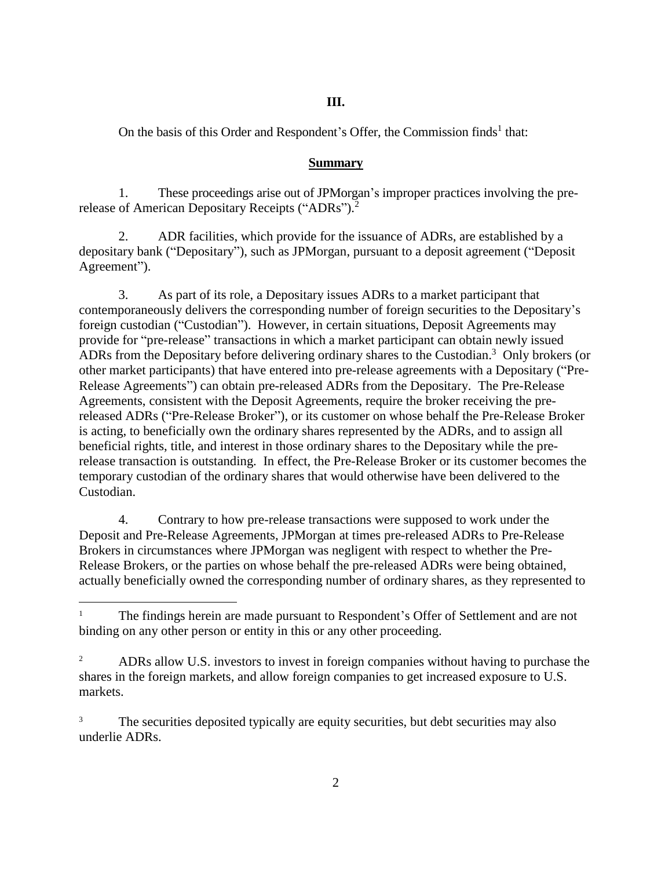### **III.**

On the basis of this Order and Respondent's Offer, the Commission finds<sup>1</sup> that:

### **Summary**

1. These proceedings arise out of JPMorgan's improper practices involving the prerelease of American Depositary Receipts ("ADRs").<sup>2</sup>

2. ADR facilities, which provide for the issuance of ADRs, are established by a depositary bank ("Depositary"), such as JPMorgan, pursuant to a deposit agreement ("Deposit Agreement").

3. As part of its role, a Depositary issues ADRs to a market participant that contemporaneously delivers the corresponding number of foreign securities to the Depositary's foreign custodian ("Custodian"). However, in certain situations, Deposit Agreements may provide for "pre-release" transactions in which a market participant can obtain newly issued ADRs from the Depositary before delivering ordinary shares to the Custodian.<sup>3</sup> Only brokers (or other market participants) that have entered into pre-release agreements with a Depositary ("Pre-Release Agreements") can obtain pre-released ADRs from the Depositary. The Pre-Release Agreements, consistent with the Deposit Agreements, require the broker receiving the prereleased ADRs ("Pre-Release Broker"), or its customer on whose behalf the Pre-Release Broker is acting, to beneficially own the ordinary shares represented by the ADRs, and to assign all beneficial rights, title, and interest in those ordinary shares to the Depositary while the prerelease transaction is outstanding. In effect, the Pre-Release Broker or its customer becomes the temporary custodian of the ordinary shares that would otherwise have been delivered to the Custodian.

4. Contrary to how pre-release transactions were supposed to work under the Deposit and Pre-Release Agreements, JPMorgan at times pre-released ADRs to Pre-Release Brokers in circumstances where JPMorgan was negligent with respect to whether the Pre-Release Brokers, or the parties on whose behalf the pre-released ADRs were being obtained, actually beneficially owned the corresponding number of ordinary shares, as they represented to

 $\overline{a}$ 

The findings herein are made pursuant to Respondent's Offer of Settlement and are not binding on any other person or entity in this or any other proceeding.

<sup>&</sup>lt;sup>2</sup> ADRs allow U.S. investors to invest in foreign companies without having to purchase the shares in the foreign markets, and allow foreign companies to get increased exposure to U.S. markets.

<sup>&</sup>lt;sup>3</sup> The securities deposited typically are equity securities, but debt securities may also underlie ADRs.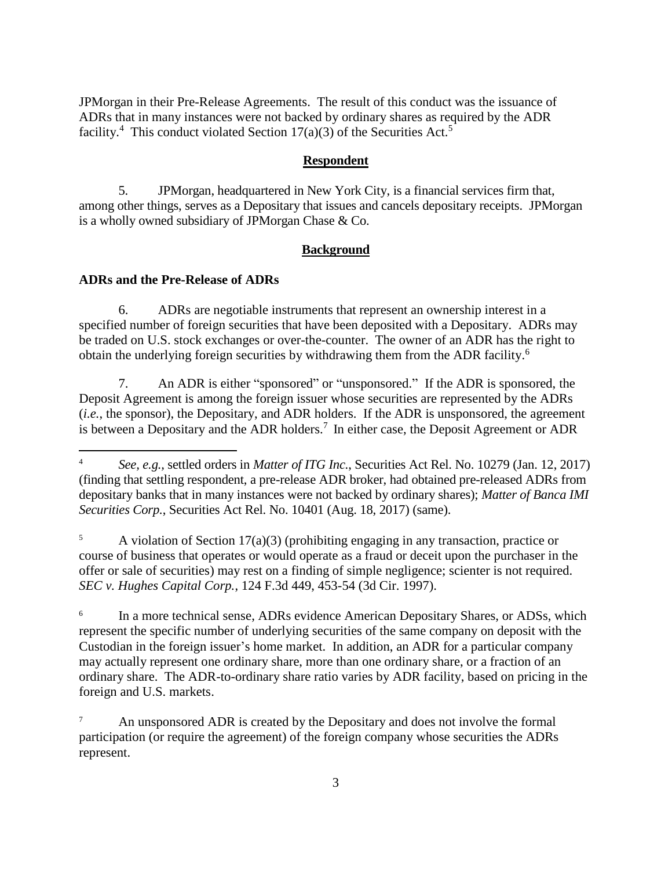JPMorgan in their Pre-Release Agreements. The result of this conduct was the issuance of ADRs that in many instances were not backed by ordinary shares as required by the ADR facility.<sup>4</sup> This conduct violated Section 17(a)(3) of the Securities Act.<sup>5</sup>

## **Respondent**

5. JPMorgan, headquartered in New York City, is a financial services firm that, among other things, serves as a Depositary that issues and cancels depositary receipts. JPMorgan is a wholly owned subsidiary of JPMorgan Chase & Co.

# **Background**

## **ADRs and the Pre-Release of ADRs**

 $\overline{a}$ 

6. ADRs are negotiable instruments that represent an ownership interest in a specified number of foreign securities that have been deposited with a Depositary. ADRs may be traded on U.S. stock exchanges or over-the-counter. The owner of an ADR has the right to obtain the underlying foreign securities by withdrawing them from the ADR facility.<sup>6</sup>

7. An ADR is either "sponsored" or "unsponsored." If the ADR is sponsored, the Deposit Agreement is among the foreign issuer whose securities are represented by the ADRs (*i.e.*, the sponsor), the Depositary, and ADR holders. If the ADR is unsponsored, the agreement is between a Depositary and the ADR holders.<sup>7</sup> In either case, the Deposit Agreement or ADR

A violation of Section  $17(a)(3)$  (prohibiting engaging in any transaction, practice or course of business that operates or would operate as a fraud or deceit upon the purchaser in the offer or sale of securities) may rest on a finding of simple negligence; scienter is not required. *SEC v. Hughes Capital Corp.*, 124 F.3d 449, 453-54 (3d Cir. 1997).

6 In a more technical sense, ADRs evidence American Depositary Shares, or ADSs, which represent the specific number of underlying securities of the same company on deposit with the Custodian in the foreign issuer's home market. In addition, an ADR for a particular company may actually represent one ordinary share, more than one ordinary share, or a fraction of an ordinary share. The ADR-to-ordinary share ratio varies by ADR facility, based on pricing in the foreign and U.S. markets.

<sup>4</sup> *See, e.g.,* settled orders in *Matter of ITG Inc.*, Securities Act Rel. No. 10279 (Jan. 12, 2017) (finding that settling respondent, a pre-release ADR broker, had obtained pre-released ADRs from depositary banks that in many instances were not backed by ordinary shares); *Matter of Banca IMI Securities Corp.*, Securities Act Rel. No. 10401 (Aug. 18, 2017) (same).

An unsponsored ADR is created by the Depositary and does not involve the formal participation (or require the agreement) of the foreign company whose securities the ADRs represent.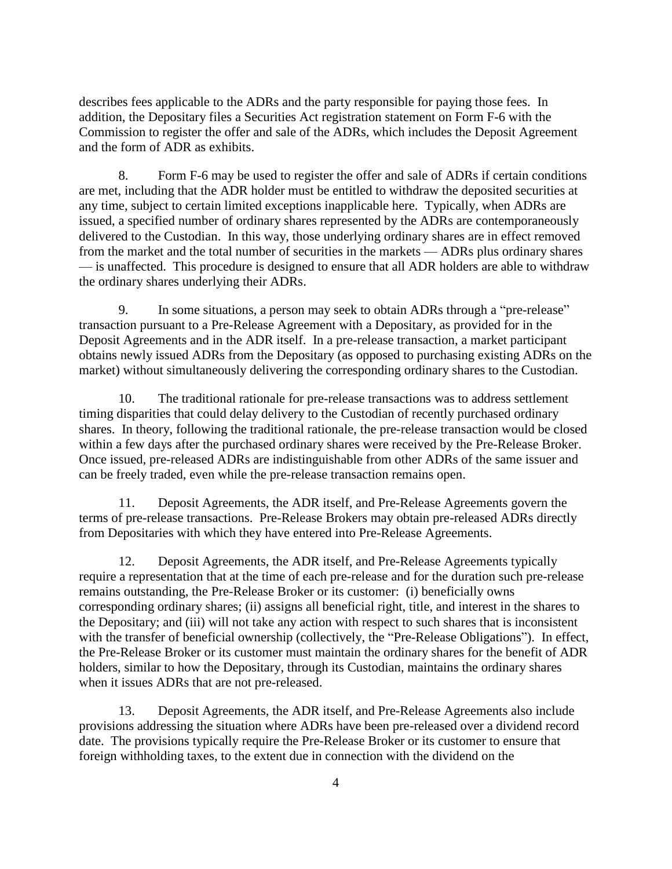describes fees applicable to the ADRs and the party responsible for paying those fees. In addition, the Depositary files a Securities Act registration statement on Form F-6 with the Commission to register the offer and sale of the ADRs, which includes the Deposit Agreement and the form of ADR as exhibits.

8. Form F-6 may be used to register the offer and sale of ADRs if certain conditions are met, including that the ADR holder must be entitled to withdraw the deposited securities at any time, subject to certain limited exceptions inapplicable here. Typically, when ADRs are issued, a specified number of ordinary shares represented by the ADRs are contemporaneously delivered to the Custodian. In this way, those underlying ordinary shares are in effect removed from the market and the total number of securities in the markets — ADRs plus ordinary shares — is unaffected. This procedure is designed to ensure that all ADR holders are able to withdraw the ordinary shares underlying their ADRs.

9. In some situations, a person may seek to obtain ADRs through a "pre-release" transaction pursuant to a Pre-Release Agreement with a Depositary, as provided for in the Deposit Agreements and in the ADR itself. In a pre-release transaction, a market participant obtains newly issued ADRs from the Depositary (as opposed to purchasing existing ADRs on the market) without simultaneously delivering the corresponding ordinary shares to the Custodian.

10. The traditional rationale for pre-release transactions was to address settlement timing disparities that could delay delivery to the Custodian of recently purchased ordinary shares. In theory, following the traditional rationale, the pre-release transaction would be closed within a few days after the purchased ordinary shares were received by the Pre-Release Broker. Once issued, pre-released ADRs are indistinguishable from other ADRs of the same issuer and can be freely traded, even while the pre-release transaction remains open.

11. Deposit Agreements, the ADR itself, and Pre-Release Agreements govern the terms of pre-release transactions. Pre-Release Brokers may obtain pre-released ADRs directly from Depositaries with which they have entered into Pre-Release Agreements.

12. Deposit Agreements, the ADR itself, and Pre-Release Agreements typically require a representation that at the time of each pre-release and for the duration such pre-release remains outstanding, the Pre-Release Broker or its customer: (i) beneficially owns corresponding ordinary shares; (ii) assigns all beneficial right, title, and interest in the shares to the Depositary; and (iii) will not take any action with respect to such shares that is inconsistent with the transfer of beneficial ownership (collectively, the "Pre-Release Obligations"). In effect, the Pre-Release Broker or its customer must maintain the ordinary shares for the benefit of ADR holders, similar to how the Depositary, through its Custodian, maintains the ordinary shares when it issues ADRs that are not pre-released.

13. Deposit Agreements, the ADR itself, and Pre-Release Agreements also include provisions addressing the situation where ADRs have been pre-released over a dividend record date. The provisions typically require the Pre-Release Broker or its customer to ensure that foreign withholding taxes, to the extent due in connection with the dividend on the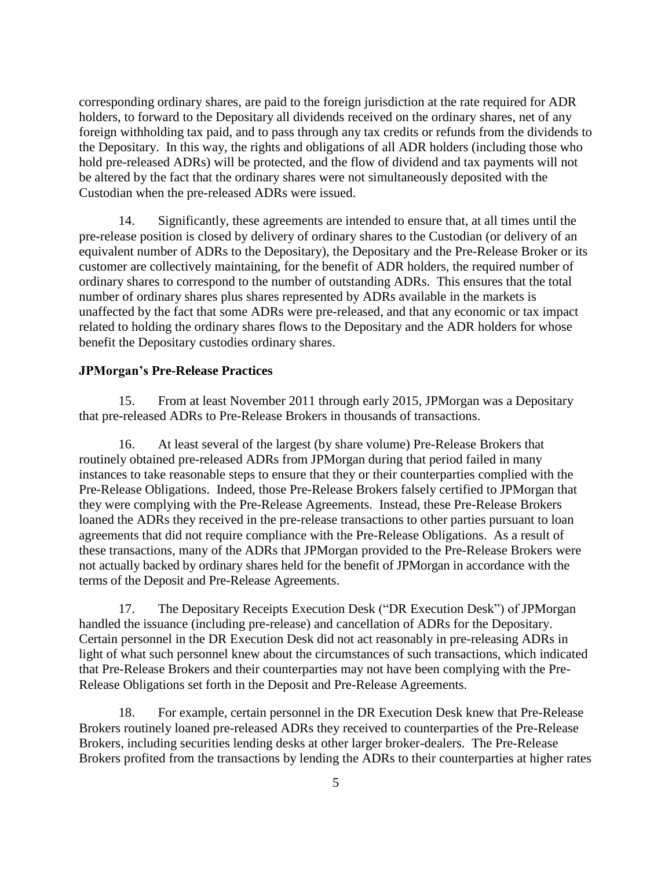corresponding ordinary shares, are paid to the foreign jurisdiction at the rate required for ADR holders, to forward to the Depositary all dividends received on the ordinary shares, net of any foreign withholding tax paid, and to pass through any tax credits or refunds from the dividends to the Depositary. In this way, the rights and obligations of all ADR holders (including those who hold pre-released ADRs) will be protected, and the flow of dividend and tax payments will not be altered by the fact that the ordinary shares were not simultaneously deposited with the Custodian when the pre-released ADRs were issued.

14. Significantly, these agreements are intended to ensure that, at all times until the pre-release position is closed by delivery of ordinary shares to the Custodian (or delivery of an equivalent number of ADRs to the Depositary), the Depositary and the Pre-Release Broker or its customer are collectively maintaining, for the benefit of ADR holders, the required number of ordinary shares to correspond to the number of outstanding ADRs. This ensures that the total number of ordinary shares plus shares represented by ADRs available in the markets is unaffected by the fact that some ADRs were pre-released, and that any economic or tax impact related to holding the ordinary shares flows to the Depositary and the ADR holders for whose benefit the Depositary custodies ordinary shares.

# **JPMorgan's Pre-Release Practices**

15. From at least November 2011 through early 2015, JPMorgan was a Depositary that pre-released ADRs to Pre-Release Brokers in thousands of transactions.

16. At least several of the largest (by share volume) Pre-Release Brokers that routinely obtained pre-released ADRs from JPMorgan during that period failed in many instances to take reasonable steps to ensure that they or their counterparties complied with the Pre-Release Obligations. Indeed, those Pre-Release Brokers falsely certified to JPMorgan that they were complying with the Pre-Release Agreements. Instead, these Pre-Release Brokers loaned the ADRs they received in the pre-release transactions to other parties pursuant to loan agreements that did not require compliance with the Pre-Release Obligations. As a result of these transactions, many of the ADRs that JPMorgan provided to the Pre-Release Brokers were not actually backed by ordinary shares held for the benefit of JPMorgan in accordance with the terms of the Deposit and Pre-Release Agreements.

17. The Depositary Receipts Execution Desk ("DR Execution Desk") of JPMorgan handled the issuance (including pre-release) and cancellation of ADRs for the Depositary. Certain personnel in the DR Execution Desk did not act reasonably in pre-releasing ADRs in light of what such personnel knew about the circumstances of such transactions, which indicated that Pre-Release Brokers and their counterparties may not have been complying with the Pre-Release Obligations set forth in the Deposit and Pre-Release Agreements.

18. For example, certain personnel in the DR Execution Desk knew that Pre-Release Brokers routinely loaned pre-released ADRs they received to counterparties of the Pre-Release Brokers, including securities lending desks at other larger broker-dealers. The Pre-Release Brokers profited from the transactions by lending the ADRs to their counterparties at higher rates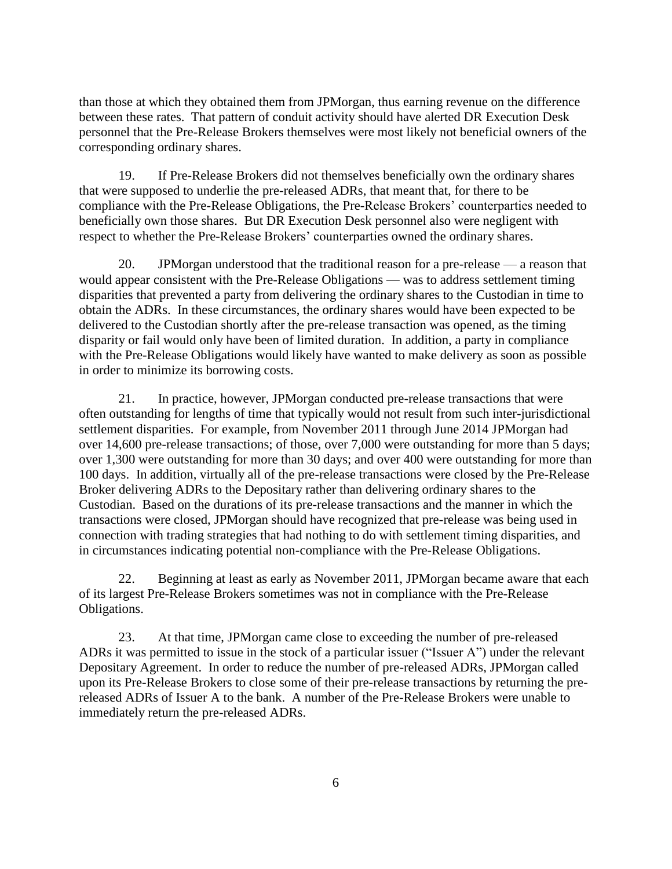than those at which they obtained them from JPMorgan, thus earning revenue on the difference between these rates. That pattern of conduit activity should have alerted DR Execution Desk personnel that the Pre-Release Brokers themselves were most likely not beneficial owners of the corresponding ordinary shares.

19. If Pre-Release Brokers did not themselves beneficially own the ordinary shares that were supposed to underlie the pre-released ADRs, that meant that, for there to be compliance with the Pre-Release Obligations, the Pre-Release Brokers' counterparties needed to beneficially own those shares. But DR Execution Desk personnel also were negligent with respect to whether the Pre-Release Brokers' counterparties owned the ordinary shares.

20. JPMorgan understood that the traditional reason for a pre-release — a reason that would appear consistent with the Pre-Release Obligations — was to address settlement timing disparities that prevented a party from delivering the ordinary shares to the Custodian in time to obtain the ADRs. In these circumstances, the ordinary shares would have been expected to be delivered to the Custodian shortly after the pre-release transaction was opened, as the timing disparity or fail would only have been of limited duration. In addition, a party in compliance with the Pre-Release Obligations would likely have wanted to make delivery as soon as possible in order to minimize its borrowing costs.

21. In practice, however, JPMorgan conducted pre-release transactions that were often outstanding for lengths of time that typically would not result from such inter-jurisdictional settlement disparities. For example, from November 2011 through June 2014 JPMorgan had over 14,600 pre-release transactions; of those, over 7,000 were outstanding for more than 5 days; over 1,300 were outstanding for more than 30 days; and over 400 were outstanding for more than 100 days. In addition, virtually all of the pre-release transactions were closed by the Pre-Release Broker delivering ADRs to the Depositary rather than delivering ordinary shares to the Custodian. Based on the durations of its pre-release transactions and the manner in which the transactions were closed, JPMorgan should have recognized that pre-release was being used in connection with trading strategies that had nothing to do with settlement timing disparities, and in circumstances indicating potential non-compliance with the Pre-Release Obligations.

22. Beginning at least as early as November 2011, JPMorgan became aware that each of its largest Pre-Release Brokers sometimes was not in compliance with the Pre-Release Obligations.

23. At that time, JPMorgan came close to exceeding the number of pre-released ADRs it was permitted to issue in the stock of a particular issuer ("Issuer A") under the relevant Depositary Agreement. In order to reduce the number of pre-released ADRs, JPMorgan called upon its Pre-Release Brokers to close some of their pre-release transactions by returning the prereleased ADRs of Issuer A to the bank. A number of the Pre-Release Brokers were unable to immediately return the pre-released ADRs.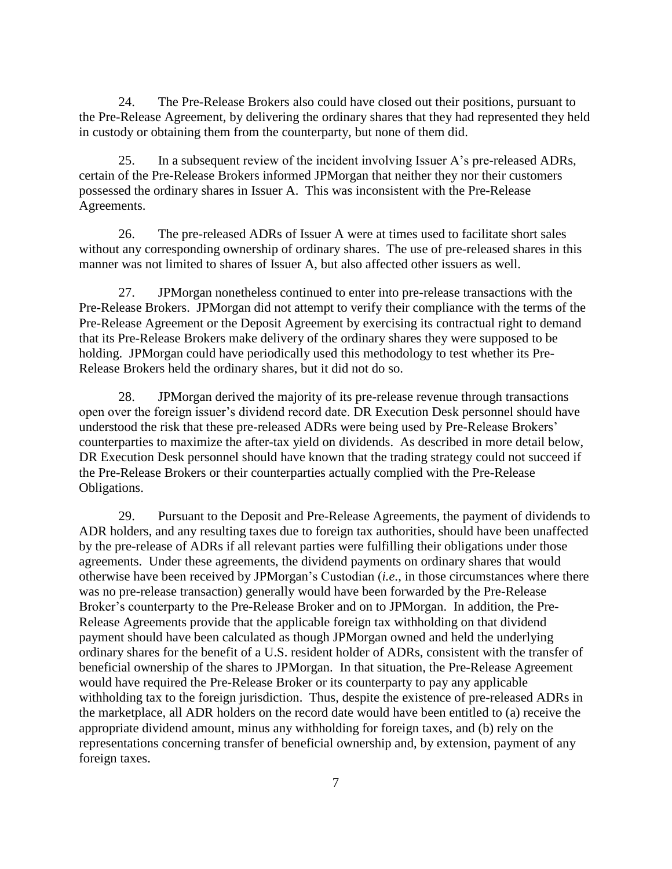24. The Pre-Release Brokers also could have closed out their positions, pursuant to the Pre-Release Agreement, by delivering the ordinary shares that they had represented they held in custody or obtaining them from the counterparty, but none of them did.

25. In a subsequent review of the incident involving Issuer A's pre-released ADRs, certain of the Pre-Release Brokers informed JPMorgan that neither they nor their customers possessed the ordinary shares in Issuer A. This was inconsistent with the Pre-Release Agreements.

26. The pre-released ADRs of Issuer A were at times used to facilitate short sales without any corresponding ownership of ordinary shares. The use of pre-released shares in this manner was not limited to shares of Issuer A, but also affected other issuers as well.

27. JPMorgan nonetheless continued to enter into pre-release transactions with the Pre-Release Brokers. JPMorgan did not attempt to verify their compliance with the terms of the Pre-Release Agreement or the Deposit Agreement by exercising its contractual right to demand that its Pre-Release Brokers make delivery of the ordinary shares they were supposed to be holding. JPMorgan could have periodically used this methodology to test whether its Pre-Release Brokers held the ordinary shares, but it did not do so.

28. JPMorgan derived the majority of its pre-release revenue through transactions open over the foreign issuer's dividend record date. DR Execution Desk personnel should have understood the risk that these pre-released ADRs were being used by Pre-Release Brokers' counterparties to maximize the after-tax yield on dividends. As described in more detail below, DR Execution Desk personnel should have known that the trading strategy could not succeed if the Pre-Release Brokers or their counterparties actually complied with the Pre-Release Obligations.

29. Pursuant to the Deposit and Pre-Release Agreements, the payment of dividends to ADR holders, and any resulting taxes due to foreign tax authorities, should have been unaffected by the pre-release of ADRs if all relevant parties were fulfilling their obligations under those agreements. Under these agreements, the dividend payments on ordinary shares that would otherwise have been received by JPMorgan's Custodian (*i.e.*, in those circumstances where there was no pre-release transaction) generally would have been forwarded by the Pre-Release Broker's counterparty to the Pre-Release Broker and on to JPMorgan. In addition, the Pre-Release Agreements provide that the applicable foreign tax withholding on that dividend payment should have been calculated as though JPMorgan owned and held the underlying ordinary shares for the benefit of a U.S. resident holder of ADRs, consistent with the transfer of beneficial ownership of the shares to JPMorgan. In that situation, the Pre-Release Agreement would have required the Pre-Release Broker or its counterparty to pay any applicable withholding tax to the foreign jurisdiction. Thus, despite the existence of pre-released ADRs in the marketplace, all ADR holders on the record date would have been entitled to (a) receive the appropriate dividend amount, minus any withholding for foreign taxes, and (b) rely on the representations concerning transfer of beneficial ownership and, by extension, payment of any foreign taxes.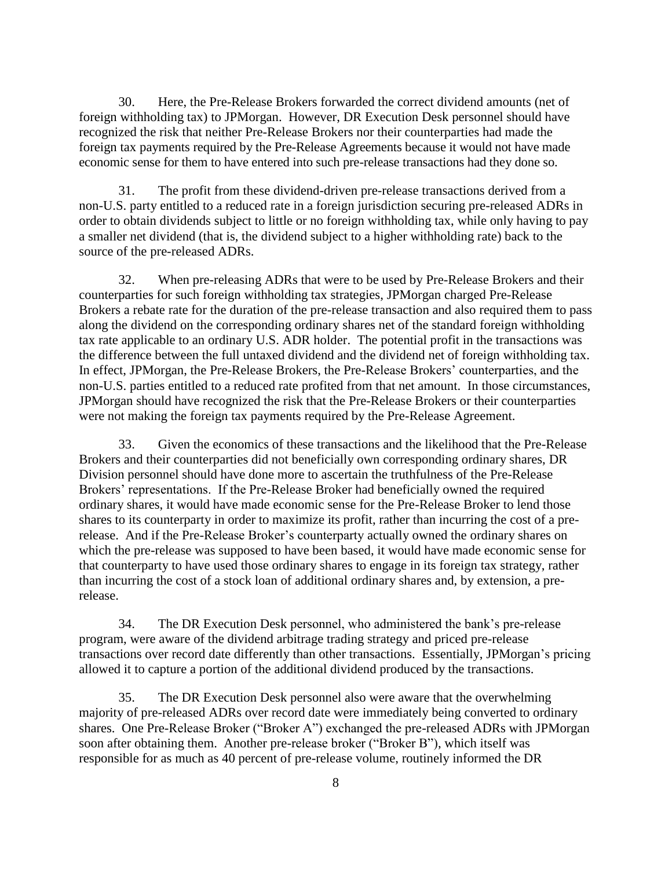30. Here, the Pre-Release Brokers forwarded the correct dividend amounts (net of foreign withholding tax) to JPMorgan. However, DR Execution Desk personnel should have recognized the risk that neither Pre-Release Brokers nor their counterparties had made the foreign tax payments required by the Pre-Release Agreements because it would not have made economic sense for them to have entered into such pre-release transactions had they done so.

31. The profit from these dividend-driven pre-release transactions derived from a non-U.S. party entitled to a reduced rate in a foreign jurisdiction securing pre-released ADRs in order to obtain dividends subject to little or no foreign withholding tax, while only having to pay a smaller net dividend (that is, the dividend subject to a higher withholding rate) back to the source of the pre-released ADRs.

32. When pre-releasing ADRs that were to be used by Pre-Release Brokers and their counterparties for such foreign withholding tax strategies, JPMorgan charged Pre-Release Brokers a rebate rate for the duration of the pre-release transaction and also required them to pass along the dividend on the corresponding ordinary shares net of the standard foreign withholding tax rate applicable to an ordinary U.S. ADR holder. The potential profit in the transactions was the difference between the full untaxed dividend and the dividend net of foreign withholding tax. In effect, JPMorgan, the Pre-Release Brokers, the Pre-Release Brokers' counterparties, and the non-U.S. parties entitled to a reduced rate profited from that net amount. In those circumstances, JPMorgan should have recognized the risk that the Pre-Release Brokers or their counterparties were not making the foreign tax payments required by the Pre-Release Agreement.

33. Given the economics of these transactions and the likelihood that the Pre-Release Brokers and their counterparties did not beneficially own corresponding ordinary shares, DR Division personnel should have done more to ascertain the truthfulness of the Pre-Release Brokers' representations. If the Pre-Release Broker had beneficially owned the required ordinary shares, it would have made economic sense for the Pre-Release Broker to lend those shares to its counterparty in order to maximize its profit, rather than incurring the cost of a prerelease. And if the Pre-Release Broker's counterparty actually owned the ordinary shares on which the pre-release was supposed to have been based, it would have made economic sense for that counterparty to have used those ordinary shares to engage in its foreign tax strategy, rather than incurring the cost of a stock loan of additional ordinary shares and, by extension, a prerelease.

34. The DR Execution Desk personnel, who administered the bank's pre-release program, were aware of the dividend arbitrage trading strategy and priced pre-release transactions over record date differently than other transactions. Essentially, JPMorgan's pricing allowed it to capture a portion of the additional dividend produced by the transactions.

35. The DR Execution Desk personnel also were aware that the overwhelming majority of pre-released ADRs over record date were immediately being converted to ordinary shares. One Pre-Release Broker ("Broker A") exchanged the pre-released ADRs with JPMorgan soon after obtaining them. Another pre-release broker ("Broker B"), which itself was responsible for as much as 40 percent of pre-release volume, routinely informed the DR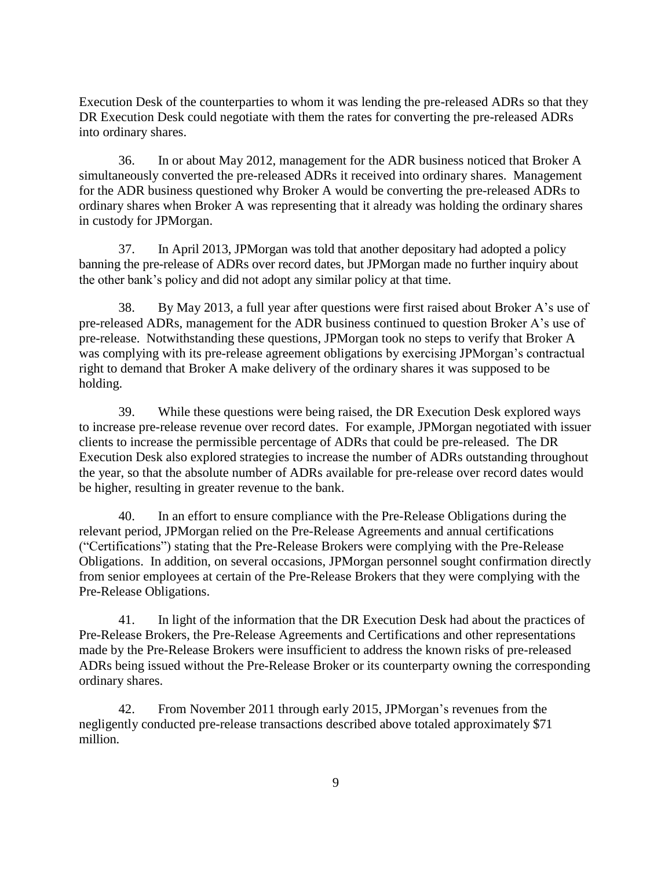Execution Desk of the counterparties to whom it was lending the pre-released ADRs so that they DR Execution Desk could negotiate with them the rates for converting the pre-released ADRs into ordinary shares.

36. In or about May 2012, management for the ADR business noticed that Broker A simultaneously converted the pre-released ADRs it received into ordinary shares. Management for the ADR business questioned why Broker A would be converting the pre-released ADRs to ordinary shares when Broker A was representing that it already was holding the ordinary shares in custody for JPMorgan.

37. In April 2013, JPMorgan was told that another depositary had adopted a policy banning the pre-release of ADRs over record dates, but JPMorgan made no further inquiry about the other bank's policy and did not adopt any similar policy at that time.

38. By May 2013, a full year after questions were first raised about Broker A's use of pre-released ADRs, management for the ADR business continued to question Broker A's use of pre-release. Notwithstanding these questions, JPMorgan took no steps to verify that Broker A was complying with its pre-release agreement obligations by exercising JPMorgan's contractual right to demand that Broker A make delivery of the ordinary shares it was supposed to be holding.

39. While these questions were being raised, the DR Execution Desk explored ways to increase pre-release revenue over record dates. For example, JPMorgan negotiated with issuer clients to increase the permissible percentage of ADRs that could be pre-released. The DR Execution Desk also explored strategies to increase the number of ADRs outstanding throughout the year, so that the absolute number of ADRs available for pre-release over record dates would be higher, resulting in greater revenue to the bank.

40. In an effort to ensure compliance with the Pre-Release Obligations during the relevant period, JPMorgan relied on the Pre-Release Agreements and annual certifications ("Certifications") stating that the Pre-Release Brokers were complying with the Pre-Release Obligations. In addition, on several occasions, JPMorgan personnel sought confirmation directly from senior employees at certain of the Pre-Release Brokers that they were complying with the Pre-Release Obligations.

41. In light of the information that the DR Execution Desk had about the practices of Pre-Release Brokers, the Pre-Release Agreements and Certifications and other representations made by the Pre-Release Brokers were insufficient to address the known risks of pre-released ADRs being issued without the Pre-Release Broker or its counterparty owning the corresponding ordinary shares.

42. From November 2011 through early 2015, JPMorgan's revenues from the negligently conducted pre-release transactions described above totaled approximately \$71 million.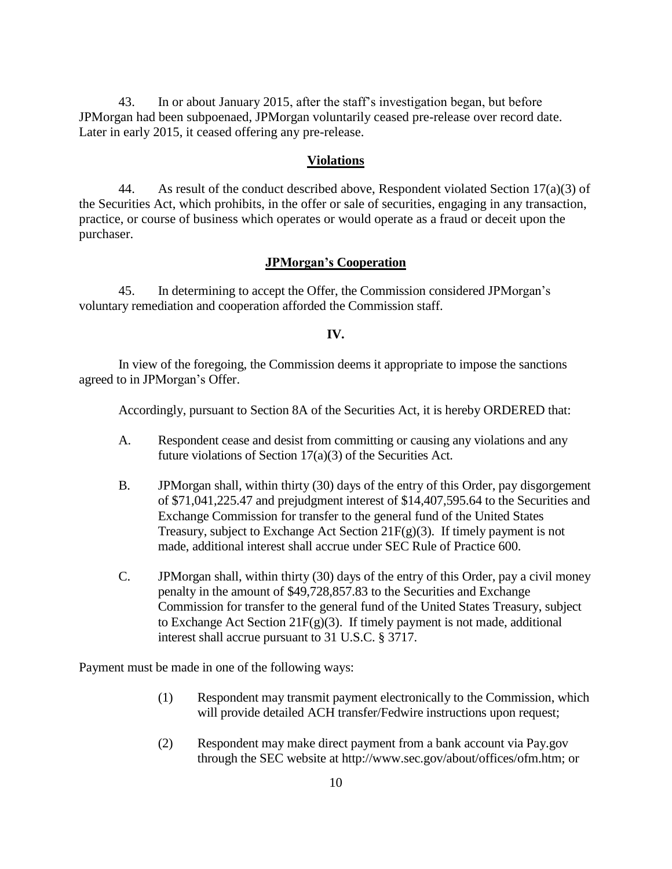43. In or about January 2015, after the staff's investigation began, but before JPMorgan had been subpoenaed, JPMorgan voluntarily ceased pre-release over record date. Later in early 2015, it ceased offering any pre-release.

#### **Violations**

44. As result of the conduct described above, Respondent violated Section  $17(a)(3)$  of the Securities Act, which prohibits, in the offer or sale of securities, engaging in any transaction, practice, or course of business which operates or would operate as a fraud or deceit upon the purchaser.

#### **JPMorgan's Cooperation**

45. In determining to accept the Offer, the Commission considered JPMorgan's voluntary remediation and cooperation afforded the Commission staff.

#### **IV.**

In view of the foregoing, the Commission deems it appropriate to impose the sanctions agreed to in JPMorgan's Offer.

Accordingly, pursuant to Section 8A of the Securities Act, it is hereby ORDERED that:

- A. Respondent cease and desist from committing or causing any violations and any future violations of Section 17(a)(3) of the Securities Act.
- B. JPMorgan shall, within thirty (30) days of the entry of this Order, pay disgorgement of \$71,041,225.47 and prejudgment interest of \$14,407,595.64 to the Securities and Exchange Commission for transfer to the general fund of the United States Treasury, subject to Exchange Act Section 21 $F(g)(3)$ . If timely payment is not made, additional interest shall accrue under SEC Rule of Practice 600.
- C. JPMorgan shall, within thirty (30) days of the entry of this Order, pay a civil money penalty in the amount of \$49,728,857.83 to the Securities and Exchange Commission for transfer to the general fund of the United States Treasury, subject to Exchange Act Section 21 $F(g)(3)$ . If timely payment is not made, additional interest shall accrue pursuant to 31 U.S.C. § 3717.

Payment must be made in one of the following ways:

- (1) Respondent may transmit payment electronically to the Commission, which will provide detailed ACH transfer/Fedwire instructions upon request;
- (2) Respondent may make direct payment from a bank account via Pay.gov through the SEC website at http://www.sec.gov/about/offices/ofm.htm; or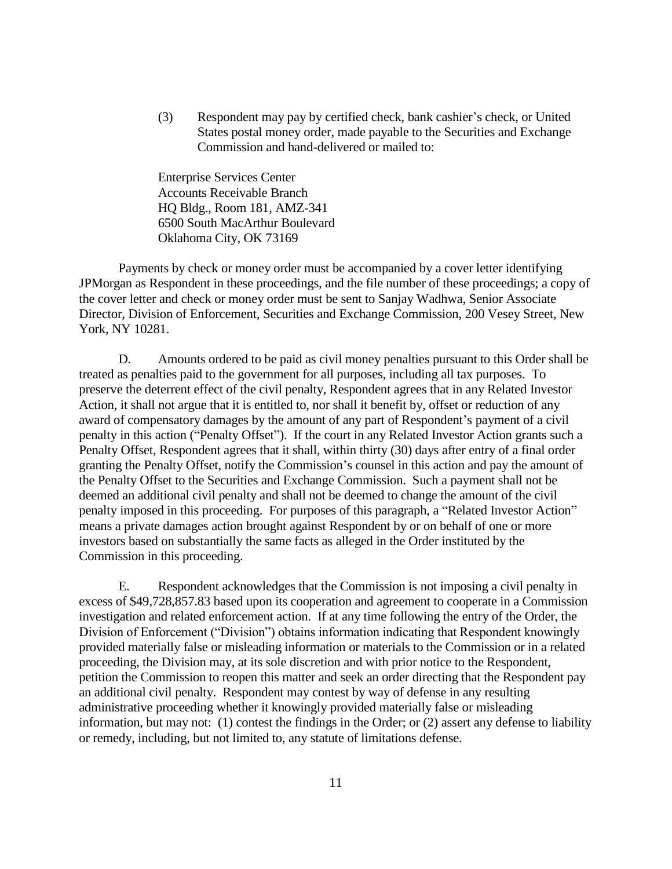(3) Respondent may pay by certified check, bank cashier's check, or United States postal money order, made payable to the Securities and Exchange Commission and hand-delivered or mailed to:

Enterprise Services Center Accounts Receivable Branch HQ Bldg., Room 181, AMZ-341 6500 South MacArthur Boulevard Oklahoma City, OK 73169

Payments by check or money order must be accompanied by a cover letter identifying JPMorgan as Respondent in these proceedings, and the file number of these proceedings; a copy of the cover letter and check or money order must be sent to Sanjay Wadhwa, Senior Associate Director, Division of Enforcement, Securities and Exchange Commission, 200 Vesey Street, New York, NY 10281.

D. Amounts ordered to be paid as civil money penalties pursuant to this Order shall be treated as penalties paid to the government for all purposes, including all tax purposes. To preserve the deterrent effect of the civil penalty, Respondent agrees that in any Related Investor Action, it shall not argue that it is entitled to, nor shall it benefit by, offset or reduction of any award of compensatory damages by the amount of any part of Respondent's payment of a civil penalty in this action ("Penalty Offset"). If the court in any Related Investor Action grants such a Penalty Offset, Respondent agrees that it shall, within thirty (30) days after entry of a final order granting the Penalty Offset, notify the Commission's counsel in this action and pay the amount of the Penalty Offset to the Securities and Exchange Commission. Such a payment shall not be deemed an additional civil penalty and shall not be deemed to change the amount of the civil penalty imposed in this proceeding. For purposes of this paragraph, a "Related Investor Action" means a private damages action brought against Respondent by or on behalf of one or more investors based on substantially the same facts as alleged in the Order instituted by the Commission in this proceeding.

E. Respondent acknowledges that the Commission is not imposing a civil penalty in excess of \$49,728,857.83 based upon its cooperation and agreement to cooperate in a Commission investigation and related enforcement action. If at any time following the entry of the Order, the Division of Enforcement ("Division") obtains information indicating that Respondent knowingly provided materially false or misleading information or materials to the Commission or in a related proceeding, the Division may, at its sole discretion and with prior notice to the Respondent, petition the Commission to reopen this matter and seek an order directing that the Respondent pay an additional civil penalty. Respondent may contest by way of defense in any resulting administrative proceeding whether it knowingly provided materially false or misleading information, but may not: (1) contest the findings in the Order; or (2) assert any defense to liability or remedy, including, but not limited to, any statute of limitations defense.